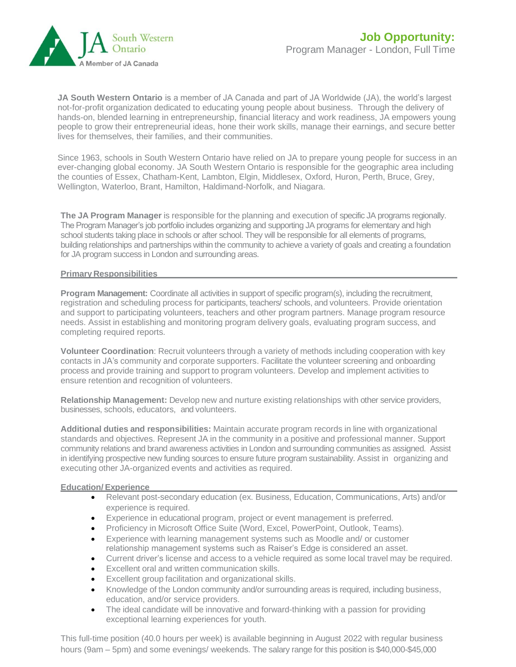

**JA South Western Ontario** is a member of JA Canada and part of JA Worldwide (JA), the world's largest not-for-profit organization dedicated to educating young people about business. Through the delivery of hands-on, blended learning in entrepreneurship, financial literacy and work readiness, JA empowers young people to grow their entrepreneurial ideas, hone their work skills, manage their earnings, and secure better lives for themselves, their families, and their communities.

Since 1963, schools in South Western Ontario have relied on JA to prepare young people for success in an ever-changing global economy. JA South Western Ontario is responsible for the geographic area including the counties of Essex, Chatham-Kent, Lambton, Elgin, Middlesex, Oxford, Huron, Perth, Bruce, Grey, Wellington, Waterloo, Brant, Hamilton, Haldimand-Norfolk, and Niagara.

**The JA Program Manager** is responsible for the planning and execution of specific JA programs regionally. The Program Manager's job portfolio includes organizing and supporting JA programs for elementary and high school students taking place in schools or after school. They will be responsible for all elements of programs, building relationships and partnerships within the community to achieve a variety of goals and creating a foundation for JA program success in London and surrounding areas.

## **Primary Responsibilities**

**Program Management:** Coordinate all activities in support of specific program(s), including the recruitment, registration and scheduling process for participants, teachers/ schools, and volunteers. Provide orientation and support to participating volunteers, teachers and other program partners. Manage program resource needs. Assist in establishing and monitoring program delivery goals, evaluating program success, and completing required reports.

**Volunteer Coordination**: Recruit volunteers through a variety of methods including cooperation with key contacts in JA's community and corporate supporters. Facilitate the volunteer screening and onboarding process and provide training and support to program volunteers. Develop and implement activities to ensure retention and recognition of volunteers.

**Relationship Management:** Develop new and nurture existing relationships with other service providers, businesses, schools, educators, and volunteers.

**Additional duties and responsibilities:** Maintain accurate program records in line with organizational standards and objectives. Represent JA in the community in a positive and professional manner. Support community relations and brand awareness activities in London and surrounding communities as assigned. Assist in identifying prospective new funding sources to ensure future program sustainability. Assist in organizing and executing other JA-organized events and activities as required.

## **Education/ Experience**

- Relevant post-secondary education (ex. Business, Education, Communications, Arts) and/or experience is required.
- Experience in educational program, project or event management is preferred.
- Proficiency in Microsoft Office Suite (Word, Excel, PowerPoint, Outlook, Teams).
- Experience with learning management systems such as Moodle and/ or customer relationship management systems such as Raiser's Edge is considered an asset.
- Current driver's license and access to a vehicle required as some local travel may be required.
- Excellent oral and written communication skills.
- Excellent group facilitation and organizational skills.
- Knowledge of the London community and/or surrounding areas is required, including business, education, and/or service providers.
- The ideal candidate will be innovative and forward-thinking with a passion for providing exceptional learning experiences for youth.

This full-time position (40.0 hours per week) is available beginning in August 2022 with regular business hours (9am – 5pm) and some evenings/ weekends. The salary range for this position is \$40,000-\$45,000